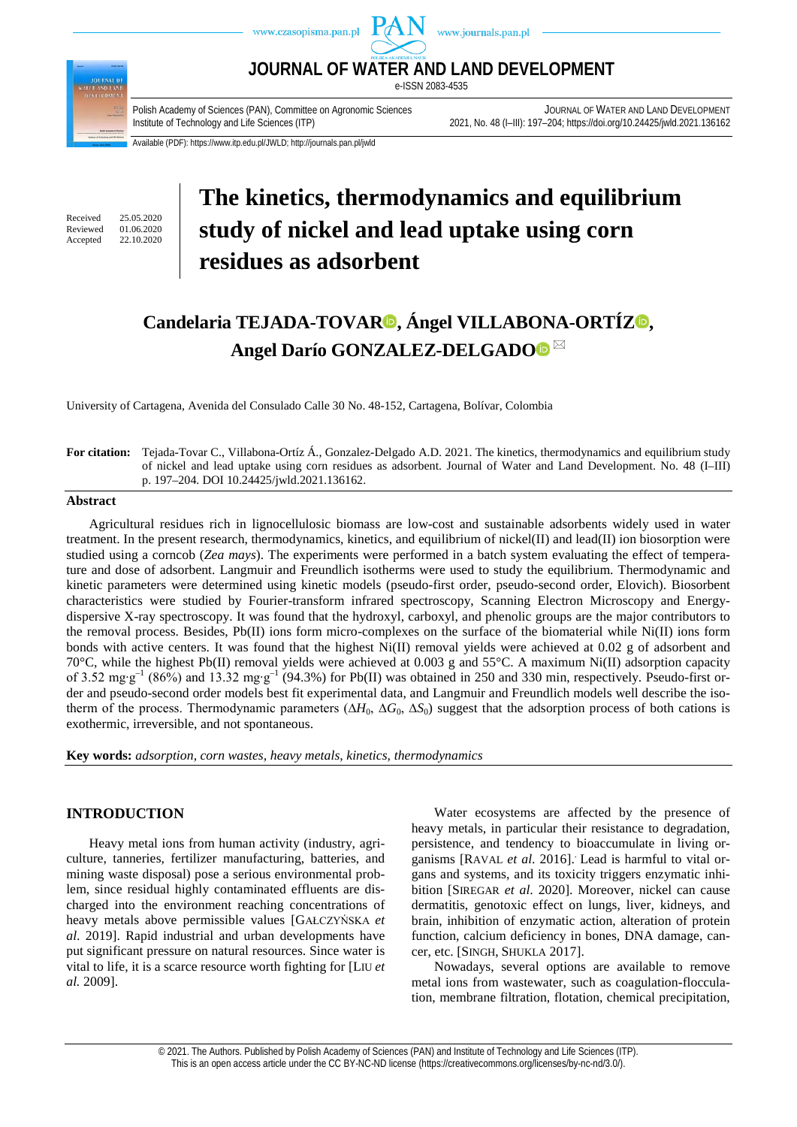

Available (PDF): https://www.itp.edu.pl/JWLD; http://journals.pan.pl/jwld

Received 25.05.2020<br>Reviewed 01.06.2020 Reviewed 01.06.2020<br>Accepted 22.10.2020 22.10.2020

# **The kinetics, thermodynamics and equilibrium study of nickel and lead uptake using corn residues as adsorbent**

# **Candelaria TEJADA-TOVA[R](https://orcid.org/0000-0002-2323-1544) , Ángel VILLABONA-ORTÍ[Z](https://orcid.org/0000-0001-8488-1076) , Angel Darío GONZALEZ-DELGADO**

University of Cartagena, Avenida del Consulado Calle 30 No. 48-152, Cartagena, Bolívar, Colombia

#### **For citation:** Tejada-Tovar C., Villabona-Ortíz Á., Gonzalez-Delgado A.D. 2021. The kinetics, thermodynamics and equilibrium study of nickel and lead uptake using corn residues as adsorbent. Journal of Water and Land Development. No. 48 (I–III) p. 197–204. DOI 10.24425/jwld.2021.136162.

#### **Abstract**

Agricultural residues rich in lignocellulosic biomass are low-cost and sustainable adsorbents widely used in water treatment. In the present research, thermodynamics, kinetics, and equilibrium of nickel(II) and lead(II) ion biosorption were studied using a corncob (*Zea mays*). The experiments were performed in a batch system evaluating the effect of temperature and dose of adsorbent. Langmuir and Freundlich isotherms were used to study the equilibrium. Thermodynamic and kinetic parameters were determined using kinetic models (pseudo-first order, pseudo-second order, Elovich). Biosorbent characteristics were studied by Fourier-transform infrared spectroscopy, Scanning Electron Microscopy and Energydispersive X-ray spectroscopy. It was found that the hydroxyl, carboxyl, and phenolic groups are the major contributors to the removal process. Besides, Pb(II) ions form micro-complexes on the surface of the biomaterial while Ni(II) ions form bonds with active centers. It was found that the highest Ni(II) removal yields were achieved at 0.02 g of adsorbent and 70°C, while the highest Pb(II) removal yields were achieved at 0.003 g and 55°C. A maximum Ni(II) adsorption capacity of 3.52 mg⋅g<sup>-1</sup> (86%) and 13.32 mg⋅g<sup>-1</sup> (94.3%) for Pb(II) was obtained in 250 and 330 min, respectively. Pseudo-first order and pseudo-second order models best fit experimental data, and Langmuir and Freundlich models well describe the isotherm of the process. Thermodynamic parameters ( $\Delta H_0$ ,  $\Delta G_0$ ,  $\Delta S_0$ ) suggest that the adsorption process of both cations is exothermic, irreversible, and not spontaneous.

**Key words:** *adsorption, corn wastes, heavy metals, kinetics, thermodynamics*

# **INTRODUCTION**

Heavy metal ions from human activity (industry, agriculture, tanneries, fertilizer manufacturing, batteries, and mining waste disposal) pose a serious environmental problem, since residual highly contaminated effluents are discharged into the environment reaching concentrations of heavy metals above permissible values [GAŁCZYŃSKA *et al*. 2019]. Rapid industrial and urban developments have put significant pressure on natural resources. Since water is vital to life, it is a scarce resource worth fighting for [LIU *et al.* 2009].

Water ecosystems are affected by the presence of heavy metals, in particular their resistance to degradation, persistence, and tendency to bioaccumulate in living organisms [RAVAL *et al*. 2016]. . Lead is harmful to vital organs and systems, and its toxicity triggers enzymatic inhibition [SIREGAR *et al*. 2020]. Moreover, nickel can cause dermatitis, genotoxic effect on lungs, liver, kidneys, and brain, inhibition of enzymatic action, alteration of protein function, calcium deficiency in bones, DNA damage, cancer, etc. [SINGH, SHUKLA 2017].

Nowadays, several options are available to remove metal ions from wastewater, such as coagulation-flocculation, membrane filtration, flotation, chemical precipitation,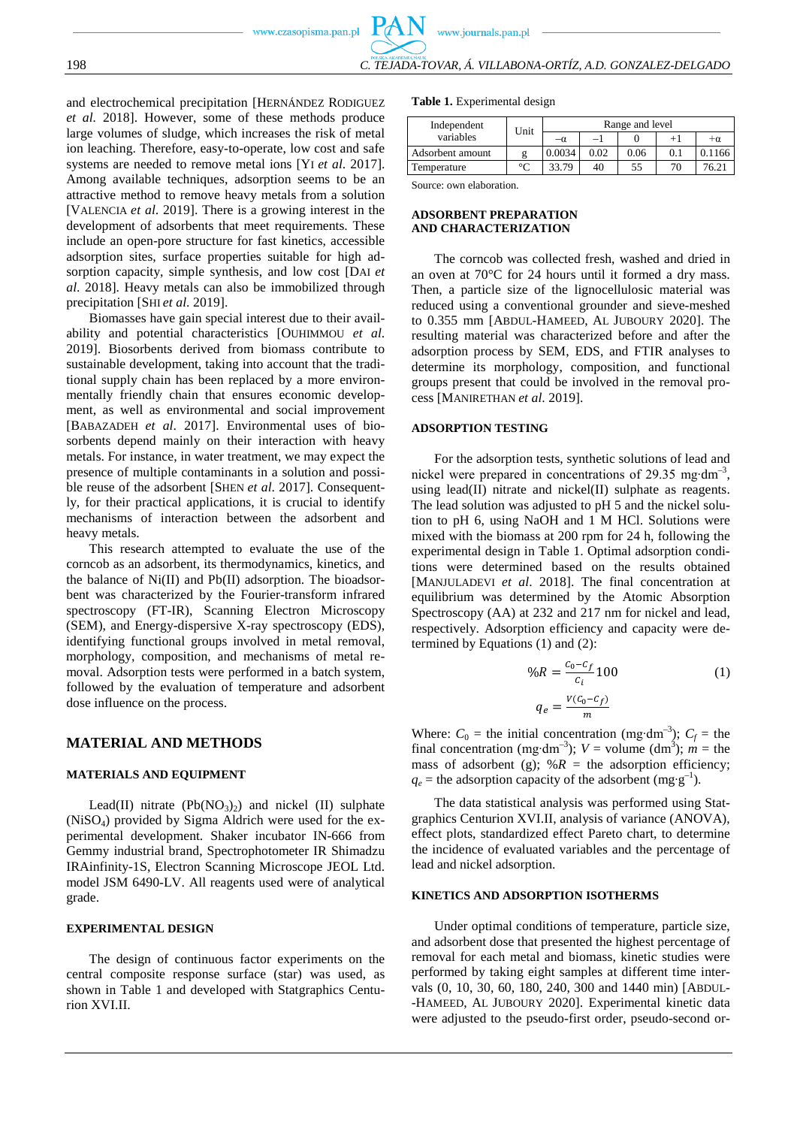and electrochemical precipitation [HERNÁNDEZ RODIGUEZ *et al.* 2018]. However, some of these methods produce large volumes of sludge, which increases the risk of metal ion leaching. Therefore, easy-to-operate, low cost and safe systems are needed to remove metal ions [YI *et al*. 2017]. Among available techniques, adsorption seems to be an attractive method to remove heavy metals from a solution [VALENCIA *et al*. 2019]. There is a growing interest in the development of adsorbents that meet requirements. These include an open-pore structure for fast kinetics, accessible adsorption sites, surface properties suitable for high adsorption capacity, simple synthesis, and low cost [DAI *et al*. 2018]. Heavy metals can also be immobilized through precipitation [SHI *et al*. 2019].

Biomasses have gain special interest due to their availability and potential characteristics [OUHIMMOU *et al*. 2019]. Biosorbents derived from biomass contribute to sustainable development, taking into account that the traditional supply chain has been replaced by a more environmentally friendly chain that ensures economic development, as well as environmental and social improvement [BABAZADEH *et al*. 2017]. Environmental uses of biosorbents depend mainly on their interaction with heavy metals. For instance, in water treatment, we may expect the presence of multiple contaminants in a solution and possible reuse of the adsorbent [SHEN *et al*. 2017]. Consequently, for their practical applications, it is crucial to identify mechanisms of interaction between the adsorbent and heavy metals.

This research attempted to evaluate the use of the corncob as an adsorbent, its thermodynamics, kinetics, and the balance of Ni(II) and Pb(II) adsorption. The bioadsorbent was characterized by the Fourier-transform infrared spectroscopy (FT-IR), Scanning Electron Microscopy (SEM), and Energy-dispersive X-ray spectroscopy (EDS), identifying functional groups involved in metal removal, morphology, composition, and mechanisms of metal removal. Adsorption tests were performed in a batch system, followed by the evaluation of temperature and adsorbent dose influence on the process.

#### **MATERIAL AND METHODS**

#### **MATERIALS AND EQUIPMENT**

Lead(II) nitrate  $(Pb(NO<sub>3</sub>)<sub>2</sub>)$  and nickel (II) sulphate (NiSO4) provided by Sigma Aldrich were used for the experimental development. Shaker incubator IN-666 from Gemmy industrial brand, Spectrophotometer IR Shimadzu IRAinfinity-1S, Electron Scanning Microscope JEOL Ltd. model JSM 6490-LV. All reagents used were of analytical grade.

## **EXPERIMENTAL DESIGN**

The design of continuous factor experiments on the central composite response surface (star) was used, as shown in Table 1 and developed with Statgraphics Centurion XVI.II.

#### **Table 1.** Experimental design

|                  |         | Range and level |      |      |     |           |  |
|------------------|---------|-----------------|------|------|-----|-----------|--|
| variables        | Unit    | $-\alpha$       |      |      |     | $+\alpha$ |  |
| Adsorbent amount |         | 0.0034          | 0.02 | 0.06 | 0.1 | 0.1166    |  |
| Temperature      | $\circ$ | 33.79           | 40   | 55   | 70  | 76.21     |  |

Source: own elaboration.

#### **ADSORBENT PREPARATION AND CHARACTERIZATION**

The corncob was collected fresh, washed and dried in an oven at 70°C for 24 hours until it formed a dry mass. Then, a particle size of the lignocellulosic material was reduced using a conventional grounder and sieve-meshed to 0.355 mm [ABDUL-HAMEED, AL JUBOURY 2020]. The resulting material was characterized before and after the adsorption process by SEM, EDS, and FTIR analyses to determine its morphology, composition, and functional groups present that could be involved in the removal process [MANIRETHAN *et al*. 2019].

#### **ADSORPTION TESTING**

For the adsorption tests, synthetic solutions of lead and nickel were prepared in concentrations of 29.35 mg⋅dm<sup>-3</sup>, using lead(II) nitrate and nickel(II) sulphate as reagents. The lead solution was adjusted to pH 5 and the nickel solution to pH 6, using NaOH and 1 M HCl. Solutions were mixed with the biomass at 200 rpm for 24 h, following the experimental design in Table 1. Optimal adsorption conditions were determined based on the results obtained [MANJULADEVI *et al*. 2018]. The final concentration at equilibrium was determined by the Atomic Absorption Spectroscopy (AA) at 232 and 217 nm for nickel and lead, respectively. Adsorption efficiency and capacity were determined by Equations (1) and (2):

$$
\%R = \frac{c_0 - c_f}{c_i} 100
$$
\n
$$
q_e = \frac{V(c_0 - c_f)}{m}
$$
\n(1)

Where:  $C_0$  = the initial concentration (mg⋅dm<sup>-3</sup>);  $C_f$  = the final concentration (mg⋅dm<sup>-3</sup>);  $V =$  volume (dm<sup>3</sup>);  $m =$  the mass of adsorbent (g);  $%R =$  the adsorption efficiency;  $q_e$  = the adsorption capacity of the adsorbent (mg⋅g<sup>-1</sup>).

The data statistical analysis was performed using Statgraphics Centurion XVI.II, analysis of variance (ANOVA), effect plots, standardized effect Pareto chart, to determine the incidence of evaluated variables and the percentage of lead and nickel adsorption.

#### **KINETICS AND ADSORPTION ISOTHERMS**

Under optimal conditions of temperature, particle size, and adsorbent dose that presented the highest percentage of removal for each metal and biomass, kinetic studies were performed by taking eight samples at different time intervals (0, 10, 30, 60, 180, 240, 300 and 1440 min) [ABDUL- -HAMEED, AL JUBOURY 2020]. Experimental kinetic data were adjusted to the pseudo-first order, pseudo-second or-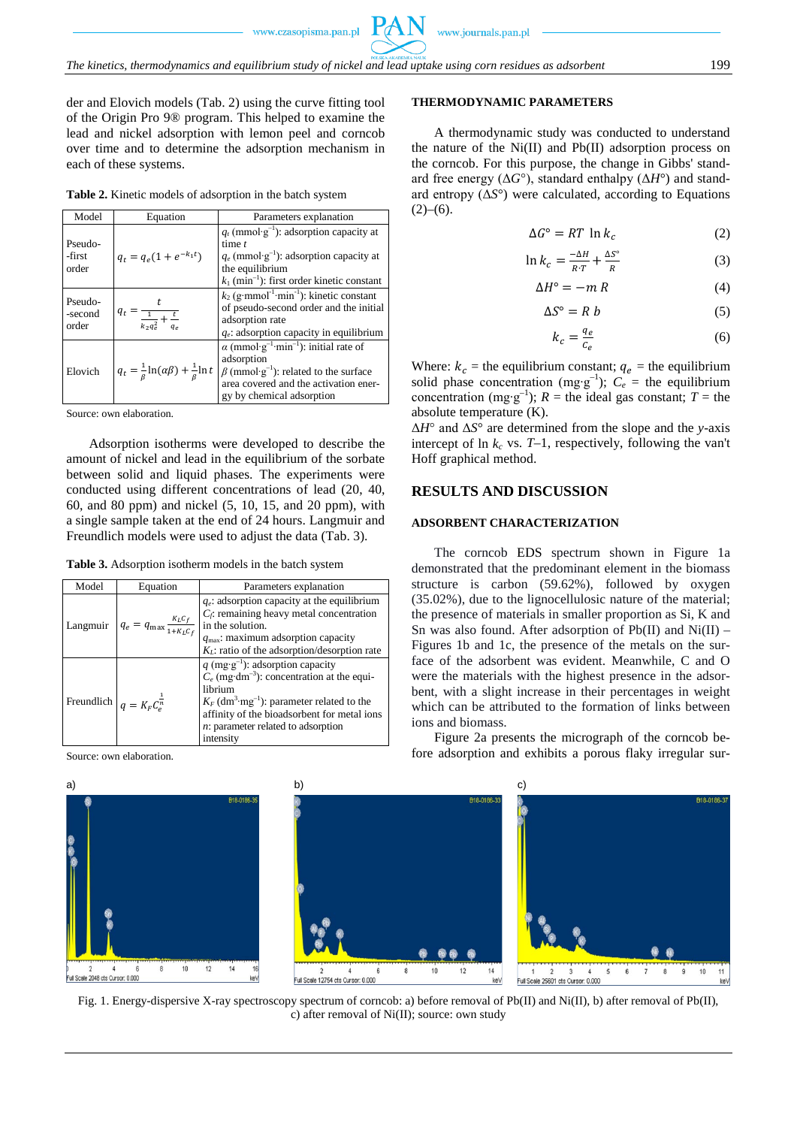der and Elovich models (Tab. 2) using the curve fitting tool of the Origin Pro 9® program. This helped to examine the lead and nickel adsorption with lemon peel and corncob over time and to determine the adsorption mechanism in each of these systems.

**Table 2.** Kinetic models of adsorption in the batch system

| Model                       | Equation                                                          | Parameters explanation                                                                                                                                                                                              |
|-----------------------------|-------------------------------------------------------------------|---------------------------------------------------------------------------------------------------------------------------------------------------------------------------------------------------------------------|
| Pseudo-<br>-first<br>order  | $q_t = q_e(1 + e^{-k_1t})$                                        | $q_t$ (mmol·g <sup>-1</sup> ): adsorption capacity at<br>time $t$<br>$q_e$ (mmol·g <sup>-1</sup> ): adsorption capacity at<br>the equilibrium<br>$k_1$ (min <sup>-1</sup> ): first order kinetic constant           |
| Pseudo-<br>-second<br>order | $q_t = \frac{1}{\frac{1}{k_2q_e^2} + \frac{t}{a_s}}$              | $k_2$ (g·mmol <sup>-1</sup> ·min <sup>-1</sup> ): kinetic constant<br>of pseudo-second order and the initial<br>adsorption rate<br>$q_e$ : adsorption capacity in equilibrium                                       |
| Elovich                     | $q_t = \frac{1}{\beta} \ln(\alpha \beta) + \frac{1}{\beta} \ln t$ | $\alpha$ (mmol·g <sup>-1</sup> ·min <sup>-1</sup> ): initial rate of<br>adsorption<br>$\beta$ (mmol·g <sup>-1</sup> ): related to the surface<br>area covered and the activation ener-<br>gy by chemical adsorption |

Source: own elaboration.

Adsorption isotherms were developed to describe the amount of nickel and lead in the equilibrium of the sorbate between solid and liquid phases. The experiments were conducted using different concentrations of lead (20, 40, 60, and 80 ppm) and nickel (5, 10, 15, and 20 ppm), with a single sample taken at the end of 24 hours. Langmuir and Freundlich models were used to adjust the data (Tab. 3).

**Table 3.** Adsorption isotherm models in the batch system

| Model                                  | Equation                                           | Parameters explanation                                                                                                                                                                                                                                                                           |
|----------------------------------------|----------------------------------------------------|--------------------------------------------------------------------------------------------------------------------------------------------------------------------------------------------------------------------------------------------------------------------------------------------------|
| Langmuir                               | $q_e = q_{\text{max}} \frac{K_L C_f}{1 + K_L C_f}$ | $q_e$ : adsorption capacity at the equilibrium<br>$C_f$ : remaining heavy metal concentration<br>in the solution.<br>$q_{\text{max}}$ : maximum adsorption capacity<br>$K_l$ : ratio of the adsorption/desorption rate                                                                           |
| Freundlich $q = K_F C_p^{\frac{1}{n}}$ |                                                    | q (mg·g <sup>-1</sup> ): adsorption capacity<br>$C_e$ (mg·dm <sup>-3</sup> ): concentration at the equi-<br>librium<br>$K_F$ (dm <sup>3</sup> ·mg <sup>-1</sup> ): parameter related to the<br>affinity of the bioadsorbent for metal ions<br>$n$ : parameter related to adsorption<br>intensity |

Source: own elaboration.







#### **THERMODYNAMIC PARAMETERS**

A thermodynamic study was conducted to understand the nature of the Ni(II) and Pb(II) adsorption process on the corncob. For this purpose, the change in Gibbs' standard free energy (Δ*G*°), standard enthalpy (Δ*H*°) and standard entropy (Δ*S*°) were calculated, according to Equations  $(2)-(6)$ .

$$
\Delta G^{\circ} = RT \ln k_c \tag{2}
$$

$$
\ln k_c = \frac{-\Delta H}{R \cdot T} + \frac{\Delta S^\circ}{R} \tag{3}
$$

$$
\Delta H^{\circ} = -m R \tag{4}
$$

$$
\Delta S^{\circ} = R b \tag{5}
$$

$$
k_c = \frac{q_e}{c_e} \tag{6}
$$

Where:  $k_c$  = the equilibrium constant;  $q_e$  = the equilibrium solid phase concentration (mg⋅g<sup>-1</sup>);  $C_e$  = the equilibrium concentration (mg⋅g<sup>-1</sup>); *R* = the ideal gas constant; *T* = the absolute temperature (K).

Δ*H*° and Δ*S*° are determined from the slope and the *y*-axis intercept of  $\ln k_c$  vs.  $T-1$ , respectively, following the van't Hoff graphical method.

# **RESULTS AND DISCUSSION**

## **ADSORBENT CHARACTERIZATION**

The corncob EDS spectrum shown in Figure 1a demonstrated that the predominant element in the biomass structure is carbon (59.62%), followed by oxygen (35.02%), due to the lignocellulosic nature of the material; the presence of materials in smaller proportion as Si, K and Sn was also found. After adsorption of  $Pb(II)$  and  $Ni(II)$  – Figures 1b and 1c, the presence of the metals on the surface of the adsorbent was evident. Meanwhile, C and O were the materials with the highest presence in the adsorbent, with a slight increase in their percentages in weight which can be attributed to the formation of links between ions and biomass.

Figure 2a presents the micrograph of the corncob before adsorption and exhibits a porous flaky irregular sur-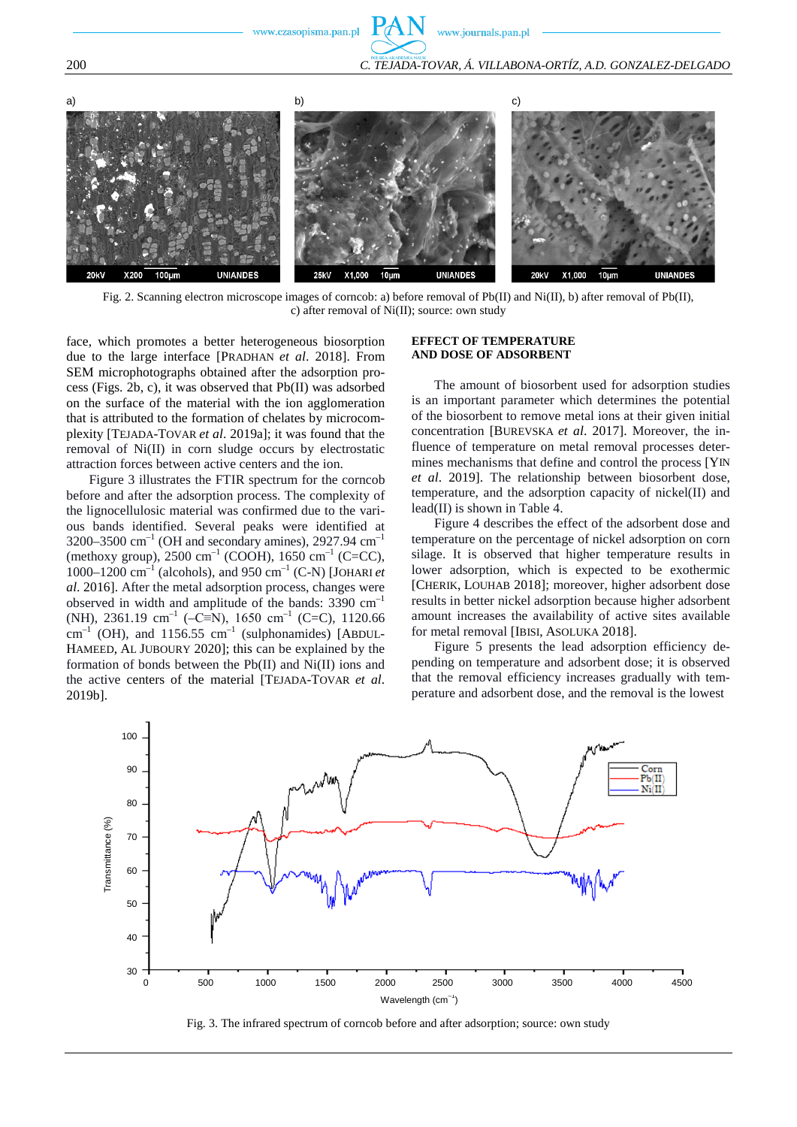www.journals.pan.pl



Fig. 2. Scanning electron microscope images of corncob: a) before removal of Pb(II) and Ni(II), b) after removal of Pb(II), c) after removal of Ni(II); source: own study

face, which promotes a better heterogeneous biosorption due to the large interface [PRADHAN *et al*. 2018]. From SEM microphotographs obtained after the adsorption process (Figs. 2b, c), it was observed that Pb(II) was adsorbed on the surface of the material with the ion agglomeration that is attributed to the formation of chelates by microcomplexity [TEJADA-TOVAR *et al*. 2019a]; it was found that the removal of Ni(II) in corn sludge occurs by electrostatic attraction forces between active centers and the ion.

Figure 3 illustrates the FTIR spectrum for the corncob before and after the adsorption process. The complexity of the lignocellulosic material was confirmed due to the various bands identified. Several peaks were identified at 3200–3500  $\text{cm}^{-1}$  (OH and secondary amines), 2927.94  $\text{cm}^{-1}$ (methoxy group),  $2500 \text{ cm}^{-1}$  (COOH),  $1650 \text{ cm}^{-1}$  (C=CC), 1000–1200  $\text{cm}^{-1}$  (alcohols), and 950  $\text{cm}^{-1}$  (C-N) [JOHARI *et al*. 2016]. After the metal adsorption process, changes were observed in width and amplitude of the bands:  $3390 \text{ cm}^{-1}$ (NH), 2361.19 cm<sup>-1</sup> (–C≡N), 1650 cm<sup>-1</sup> (C=C), 1120.66  $\text{cm}^{-1}$  (OH), and 1156.55  $\text{cm}^{-1}$  (sulphonamides) [ABDUL-HAMEED, AL JUBOURY 2020]; this can be explained by the formation of bonds between the Pb(II) and Ni(II) ions and the active centers of the material [TEJADA-TOVAR *et al*. 2019b].

#### **EFFECT OF TEMPERATURE AND DOSE OF ADSORBENT**

The amount of biosorbent used for adsorption studies is an important parameter which determines the potential of the biosorbent to remove metal ions at their given initial concentration [BUREVSKA *et al*. 2017]. Moreover, the influence of temperature on metal removal processes determines mechanisms that define and control the process [YIN *et al*. 2019]. The relationship between biosorbent dose, temperature, and the adsorption capacity of nickel(II) and lead(II) is shown in Table 4.

Figure 4 describes the effect of the adsorbent dose and temperature on the percentage of nickel adsorption on corn silage. It is observed that higher temperature results in lower adsorption, which is expected to be exothermic [CHERIK, LOUHAB 2018]; moreover, higher adsorbent dose results in better nickel adsorption because higher adsorbent amount increases the availability of active sites available for metal removal [IBISI, ASOLUKA 2018].

Figure 5 presents the lead adsorption efficiency depending on temperature and adsorbent dose; it is observed that the removal efficiency increases gradually with temperature and adsorbent dose, and the removal is the lowest



Fig. 3. The infrared spectrum of corncob before and after adsorption; source: own study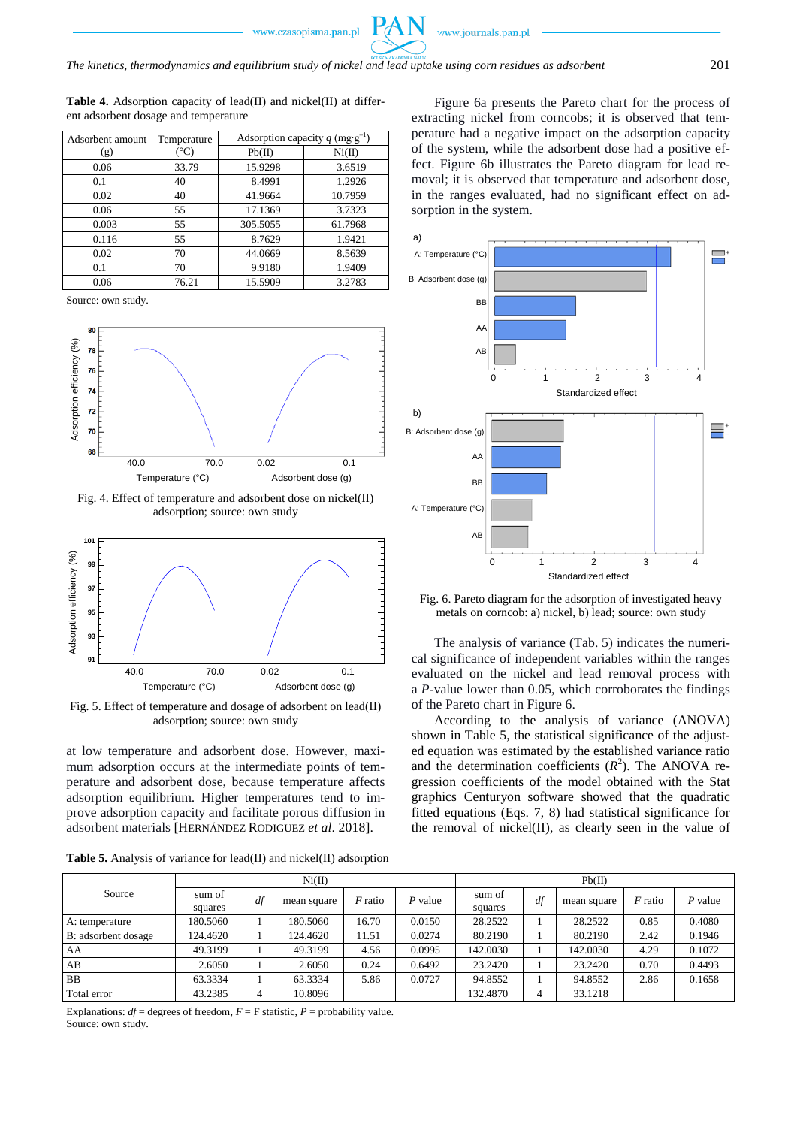**Table 4.** Adsorption capacity of lead(II) and nickel(II) at different adsorbent dosage and temperature

| Adsorbent amount | Temperature   | Adsorption capacity q (mg·g <sup>-1</sup> ) |         |  |  |
|------------------|---------------|---------------------------------------------|---------|--|--|
| (g)              | $^{\circ}$ C) | Pb(II)                                      | Ni(II)  |  |  |
| 0.06             | 33.79         | 15.9298                                     | 3.6519  |  |  |
| 0.1              | 40            | 8.4991                                      | 1.2926  |  |  |
| 0.02             | 40            | 41.9664                                     | 10.7959 |  |  |
| 0.06             | 55            | 17.1369                                     | 3.7323  |  |  |
| 0.003            | 55            | 305.5055                                    | 61.7968 |  |  |
| 0.116            | 55            | 8.7629                                      | 1.9421  |  |  |
| 0.02             | 70            | 44.0669                                     | 8.5639  |  |  |
| 0.1              | 70            | 9.9180                                      | 1.9409  |  |  |
| 0.06             | 76.21         | 15.5909                                     | 3.2783  |  |  |

Source: own study.



Fig. 4. Effect of temperature and adsorbent dose on nickel(II) adsorption; source: own study 



Fig. 5. Effect of temperature and dosage of adsorbent on lead(II) adsorption; source: own study

at low temperature and adsorbent dose. However, maximum adsorption occurs at the intermediate points of temperature and adsorbent dose, because temperature affects adsorption equilibrium. Higher temperatures tend to improve adsorption capacity and facilitate porous diffusion in adsorbent materials [HERNÁNDEZ RODIGUEZ *et al*. 2018].

**Table 5.** Analysis of variance for lead(II) and nickel(II) adsorption

Figure 6a presents the Pareto chart for the process of extracting nickel from corncobs; it is observed that temperature had a negative impact on the adsorption capacity of the system, while the adsorbent dose had a positive effect. Figure 6b illustrates the Pareto diagram for lead removal; it is observed that temperature and adsorbent dose, in the ranges evaluated, had no significant effect on adsorption in the system.



Fig. 6. Pareto diagram for the adsorption of investigated heavy metals on corncob: a) nickel, b) lead; source: own study

The analysis of variance (Tab. 5) indicates the numerical significance of independent variables within the ranges evaluated on the nickel and lead removal process with a *P*-value lower than 0.05, which corroborates the findings of the Pareto chart in Figure 6.

According to the analysis of variance (ANOVA) shown in Table 5, the statistical significance of the adjusted equation was estimated by the established variance ratio and the determination coefficients  $(R^2)$ . The ANOVA regression coefficients of the model obtained with the Stat graphics Centuryon software showed that the quadratic fitted equations (Eqs. 7, 8) had statistical significance for the removal of nickel(II), as clearly seen in the value of

|                     |                   |    | Ni(II)      |                |         | Pb(II)            |    |             |                |         |
|---------------------|-------------------|----|-------------|----------------|---------|-------------------|----|-------------|----------------|---------|
| Source              | sum of<br>squares | df | mean square | <i>F</i> ratio | P value | sum of<br>squares | df | mean square | <i>F</i> ratio | P value |
| A: temperature      | 180.5060          |    | 180.5060    | 16.70          | 0.0150  | 28.2522           |    | 28.2522     | 0.85           | 0.4080  |
| B: adsorbent dosage | 124.4620          |    | 124.4620    | 11.51          | 0.0274  | 80.2190           |    | 80.2190     | 2.42           | 0.1946  |
| AA                  | 49.3199           |    | 49.3199     | 4.56           | 0.0995  | 142.0030          |    | 142.0030    | 4.29           | 0.1072  |
| AB                  | 2.6050            |    | 2.6050      | 0.24           | 0.6492  | 23.2420           |    | 23.2420     | 0.70           | 0.4493  |
| <b>BB</b>           | 63.3334           |    | 63.3334     | 5.86           | 0.0727  | 94.8552           |    | 94.8552     | 2.86           | 0.1658  |
| Total error         | 43.2385           | 4  | 10.8096     |                |         | 132.4870          |    | 33.1218     |                |         |

Explanations:  $df =$  degrees of freedom,  $F =$  F statistic,  $P =$  probability value. Source: own study.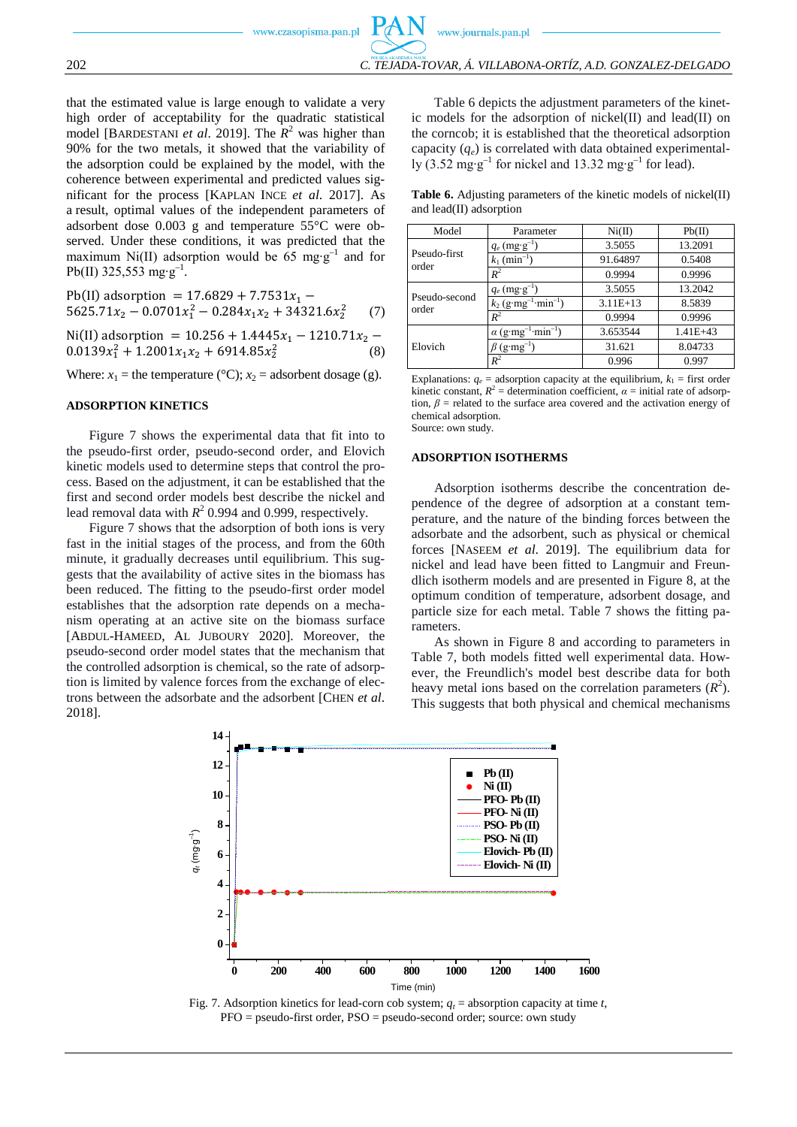www.journals.pan.pl

that the estimated value is large enough to validate a very high order of acceptability for the quadratic statistical model [BARDESTANI *et al.* 2019]. The  $R^2$  was higher than 90% for the two metals, it showed that the variability of the adsorption could be explained by the model, with the coherence between experimental and predicted values significant for the process [KAPLAN INCE *et al*. 2017]. As a result, optimal values of the independent parameters of adsorbent dose 0.003 g and temperature 55°C were observed. Under these conditions, it was predicted that the maximum Ni(II) adsorption would be 65 mg⋅g<sup>-1</sup> and for Pb(II) 325,553 mg∙g<sup>-1</sup>.

$$
Pb(II) adsorption = 17.6829 + 7.7531x1 -5625.71x2 - 0.0701x12 - 0.284x1x2 + 34321.6x22 (7)
$$

Ni(II) adsorption =  $10.256 + 1.4445x_1 - 1210.71x_2$  $0.0139x_1^2 + 1.2001x_1x_2 + 6914.85x_2^2$  $(8)$ 

Where:  $x_1$  = the temperature (°C);  $x_2$  = adsorbent dosage (g).

#### **ADSORPTION KINETICS**

Figure 7 shows the experimental data that fit into to the pseudo-first order, pseudo-second order, and Elovich kinetic models used to determine steps that control the process. Based on the adjustment, it can be established that the first and second order models best describe the nickel and lead removal data with  $R^2$  0.994 and 0.999, respectively.

Figure 7 shows that the adsorption of both ions is very fast in the initial stages of the process, and from the 60th minute, it gradually decreases until equilibrium. This suggests that the availability of active sites in the biomass has been reduced. The fitting to the pseudo-first order model establishes that the adsorption rate depends on a mechanism operating at an active site on the biomass surface [ABDUL-HAMEED, AL JUBOURY 2020]. Moreover, the pseudo-second order model states that the mechanism that the controlled adsorption is chemical, so the rate of adsorption is limited by valence forces from the exchange of electrons between the adsorbate and the adsorbent [CHEN *et al*. 2018].

Table 6 depicts the adjustment parameters of the kinetic models for the adsorption of nickel(II) and lead(II) on the corncob; it is established that the theoretical adsorption capacity (*qe*) is correlated with data obtained experimentally (3.52 mg⋅g<sup>-1</sup> for nickel and 13.32 mg⋅g<sup>-1</sup> for lead).

**Table 6.** Adjusting parameters of the kinetic models of nickel(II) and lead(II) adsorption

| Model                  | Parameter                                         | Ni(II)     | Pb(II)       |  |
|------------------------|---------------------------------------------------|------------|--------------|--|
| Pseudo-first<br>order  | $q_e$ (mg·g <sup>-1</sup> )                       | 3.5055     | 13.2091      |  |
|                        | $k_1$ (min <sup>-1</sup> )                        | 91.64897   | 0.5408       |  |
|                        | $R^2$                                             | 0.9994     | 0.9996       |  |
| Pseudo-second<br>order | $q_e$ (mg·g <sup>-1</sup> )                       | 3.5055     | 13.2042      |  |
|                        | $k_2$ (g·mg <sup>-1</sup> ·min <sup>-1</sup> )    | $3.11E+13$ | 8.5839       |  |
|                        | $R^2$                                             | 0.9994     | 0.9996       |  |
|                        | $\alpha$ (g·mg <sup>-1</sup> ·min <sup>-1</sup> ) | 3.653544   | $1.41E + 43$ |  |
| Elovich                | $(g \cdot mg^{-1})$                               | 31.621     | 8.04733      |  |
|                        | $R^2$                                             | 0.996      | 0.997        |  |

Explanations:  $q_e$  = adsorption capacity at the equilibrium,  $k_1$  = first order kinetic constant,  $R^2$  = determination coefficient,  $\alpha$  = initial rate of adsorption,  $\beta$  = related to the surface area covered and the activation energy of chemical adsorption. Source: own study.

#### **ADSORPTION ISOTHERMS**

Adsorption isotherms describe the concentration dependence of the degree of adsorption at a constant temperature, and the nature of the binding forces between the adsorbate and the adsorbent, such as physical or chemical forces [NASEEM *et al*. 2019]. The equilibrium data for nickel and lead have been fitted to Langmuir and Freundlich isotherm models and are presented in Figure 8, at the optimum condition of temperature, adsorbent dosage, and particle size for each metal. Table 7 shows the fitting parameters.

As shown in Figure 8 and according to parameters in Table 7, both models fitted well experimental data. However, the Freundlich's model best describe data for both heavy metal ions based on the correlation parameters  $(R^2)$ . This suggests that both physical and chemical mechanisms



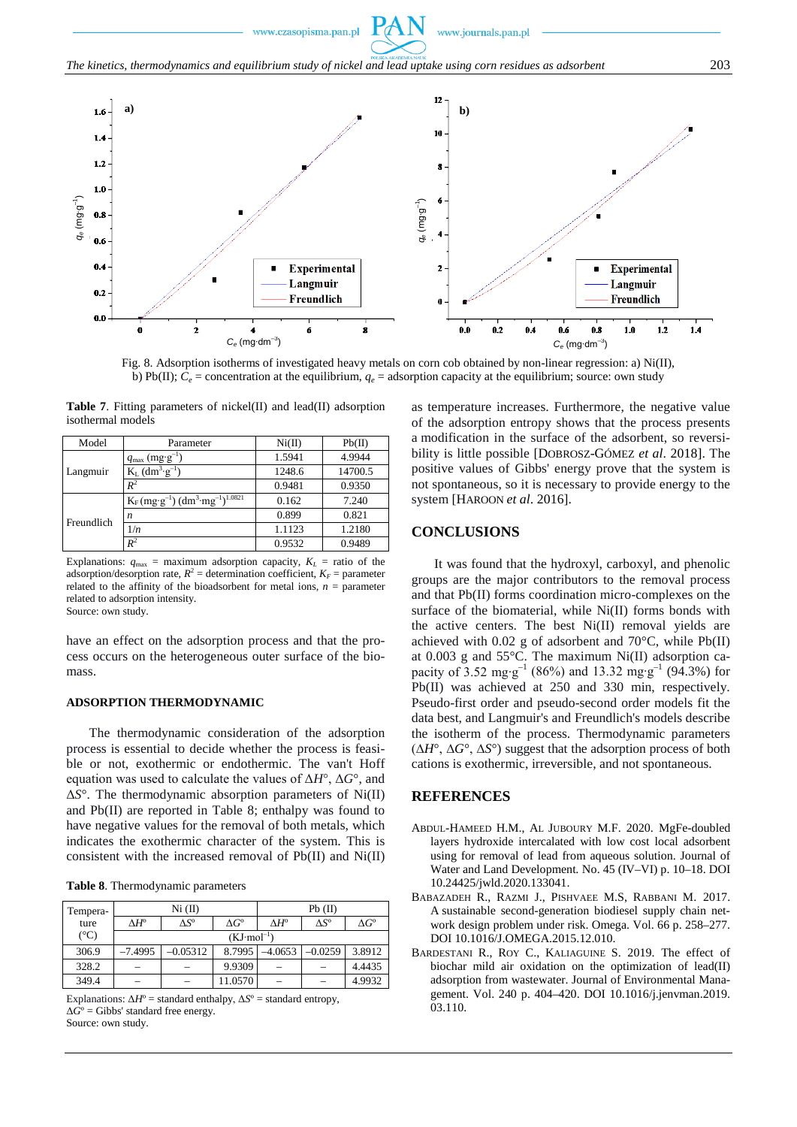

Fig. 8. Adsorption isotherms of investigated heavy metals on corn cob obtained by non-linear regression: a) Ni(II), b) Pb(II);  $C_e$  = concentration at the equilibrium,  $q_e$  = adsorption capacity at the equilibrium; source: own study

| <b>Table 7.</b> Fitting parameters of nickel(II) and lead(II) adsorption |  |  |
|--------------------------------------------------------------------------|--|--|
| isothermal models                                                        |  |  |

| Model      | Parameter                                             | Ni(II) | Pb(II)  |
|------------|-------------------------------------------------------|--------|---------|
|            | $q_{\text{max}}$ (mg·g <sup>-1</sup> )                | 1.5941 | 4.9944  |
| Langmuir   | $K_L$ (dm <sup>3</sup> ·g <sup>-1</sup> )             | 1248.6 | 14700.5 |
|            | $R^2$                                                 | 0.9481 | 0.9350  |
| Freundlich | $K_F (mg \cdot g^{-1}) (dm^3 \cdot mg^{-1})^{1.0821}$ | 0.162  | 7.240   |
|            | n                                                     | 0.899  | 0.821   |
|            | 1/n                                                   | 1.1123 | 1.2180  |
|            | $R^2$                                                 | 0.9532 | 0.9489  |

Explanations:  $q_{\text{max}} =$  maximum adsorption capacity,  $K_L =$  ratio of the adsorption/desorption rate,  $R^2$  = determination coefficient,  $K_F$  = parameter related to the affinity of the bioadsorbent for metal ions,  $n =$  parameter related to adsorption intensity. Source: own study.

have an effect on the adsorption process and that the process occurs on the heterogeneous outer surface of the biomass.

#### **ADSORPTION THERMODYNAMIC**

The thermodynamic consideration of the adsorption process is essential to decide whether the process is feasible or not, exothermic or endothermic. The van't Hoff equation was used to calculate the values of Δ*H*°, Δ*G*°, and Δ*S*°. The thermodynamic absorption parameters of Ni(II) and Pb(II) are reported in Table 8; enthalpy was found to have negative values for the removal of both metals, which indicates the exothermic character of the system. This is consistent with the increased removal of Pb(II) and Ni(II)

**Table 8**. Thermodynamic parameters

| Tempera-      |                    | $Ni$ (II)             |                    | $Pb$ (II)          |                    |                    |  |  |
|---------------|--------------------|-----------------------|--------------------|--------------------|--------------------|--------------------|--|--|
| ture          | $\wedge H^{\circ}$ | $\Delta S^{\rm o}$    | $\Delta G^{\circ}$ | $\Delta H^{\rm o}$ | $\Delta S^{\rm o}$ | $\Delta G^{\rm o}$ |  |  |
| $(^{\circ}C)$ |                    | $(KJ \cdot mol^{-1})$ |                    |                    |                    |                    |  |  |
| 306.9         | $-7.4995$          | $-0.05312$            | 8.7995             | 4.0653             | $-0.0259$          | 3.8912             |  |  |
| 328.2         |                    |                       | 9.9309             |                    |                    | 4.4435             |  |  |
| 349.4         |                    |                       | 11.0570            |                    |                    | 4.9932             |  |  |

Explanations:  $\Delta H^{\circ}$  = standard enthalpy,  $\Delta S^{\circ}$  = standard entropy,  $\Delta \hat{G}^{\circ}$  = Gibbs' standard free energy. Source: own study.

as temperature increases. Furthermore, the negative value of the adsorption entropy shows that the process presents a modification in the surface of the adsorbent, so reversibility is little possible [DOBROSZ-GÓMEZ *et al*. 2018]. The positive values of Gibbs' energy prove that the system is not spontaneous, so it is necessary to provide energy to the system [HAROON *et al*. 2016].

#### **CONCLUSIONS**

www.journals.pan.pl

It was found that the hydroxyl, carboxyl, and phenolic groups are the major contributors to the removal process and that Pb(II) forms coordination micro-complexes on the surface of the biomaterial, while Ni(II) forms bonds with the active centers. The best Ni(II) removal yields are achieved with 0.02 g of adsorbent and  $70^{\circ}$ C, while Pb(II) at 0.003 g and 55°C. The maximum Ni(II) adsorption capacity of 3.52 mg⋅g<sup>-1</sup> (86%) and 13.32 mg⋅g<sup>-1</sup> (94.3%) for Pb(II) was achieved at 250 and 330 min, respectively. Pseudo-first order and pseudo-second order models fit the data best, and Langmuir's and Freundlich's models describe the isotherm of the process. Thermodynamic parameters (∆*H*°, ∆*G*°, ∆*S*°) suggest that the adsorption process of both cations is exothermic, irreversible, and not spontaneous.

# **REFERENCES**

- ABDUL-HAMEED H.M., AL JUBOURY M.F. 2020. MgFe-doubled layers hydroxide intercalated with low cost local adsorbent using for removal of lead from aqueous solution. Journal of Water and Land Development*.* No. 45 (IV–VI) p. 10–18. DOI [10.24425/jwld.2020.133041.](https://doi.org/10.24425/jwld.2020.133041)
- BABAZADEH R., RAZMI J., PISHVAEE M.S, RABBANI M. 2017. A sustainable second-generation biodiesel supply chain network design problem under risk. Omega. Vol. 66 p. 258–277. DOI [10.1016/J.OMEGA.2015.12.010.](https://doi.org/10.1016/J.OMEGA.2015.12.010)
- BARDESTANI R., ROY C., KALIAGUINE S. 2019. The effect of biochar mild air oxidation on the optimization of lead(II) adsorption from wastewater. Journal of Environmental Management. Vol. 240 p. 404–420. DOI [10.1016/j.jenvman.2019.](https://doi.org/10.1016/j.jenvman.2019.03.110) [03.110.](https://doi.org/10.1016/j.jenvman.2019.03.110)